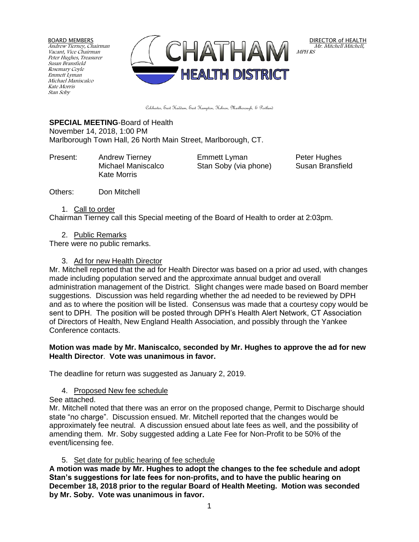BOARD MEMBERS Andrew Tierney, Chairman Vacant, Vice Chairman Peter Hughes, Treasurer Susan Bransfield Rosemary Coyle Emmett Lyman Michael Maniscalco Kate Morris Stan Soby



DIRECTOR of HEALTH Mr. Mitchell Mitchell, MPH RS

Colchester, East Haddam, East Hampton, Hebron, Marlborough, & Portland

# **SPECIAL MEETING**-Board of Health

November 14, 2018, 1:00 PM Marlborough Town Hall, 26 North Main Street, Marlborough, CT.

Present: Andrew Tierney Emmett Lyman Peter Hughes Kate Morris

Michael Maniscalco Stan Soby (via phone) Susan Bransfield

Others: Don Mitchell

#### 1. Call to order

Chairman Tierney call this Special meeting of the Board of Health to order at 2:03pm.

2. Public Remarks

There were no public remarks.

### 3. Ad for new Health Director

Mr. Mitchell reported that the ad for Health Director was based on a prior ad used, with changes made including population served and the approximate annual budget and overall administration management of the District. Slight changes were made based on Board member suggestions. Discussion was held regarding whether the ad needed to be reviewed by DPH and as to where the position will be listed. Consensus was made that a courtesy copy would be sent to DPH. The position will be posted through DPH's Health Alert Network, CT Association of Directors of Health, New England Health Association, and possibly through the Yankee Conference contacts.

#### **Motion was made by Mr. Maniscalco, seconded by Mr. Hughes to approve the ad for new Health Director**. **Vote was unanimous in favor.**

The deadline for return was suggested as January 2, 2019.

# 4. Proposed New fee schedule

See attached.

Mr. Mitchell noted that there was an error on the proposed change, Permit to Discharge should state "no charge". Discussion ensued. Mr. Mitchell reported that the changes would be approximately fee neutral. A discussion ensued about late fees as well, and the possibility of amending them. Mr. Soby suggested adding a Late Fee for Non-Profit to be 50% of the event/licensing fee.

# 5. Set date for public hearing of fee schedule

**A motion was made by Mr. Hughes to adopt the changes to the fee schedule and adopt Stan's suggestions for late fees for non-profits, and to have the public hearing on December 18, 2018 prior to the regular Board of Health Meeting. Motion was seconded by Mr. Soby. Vote was unanimous in favor.**